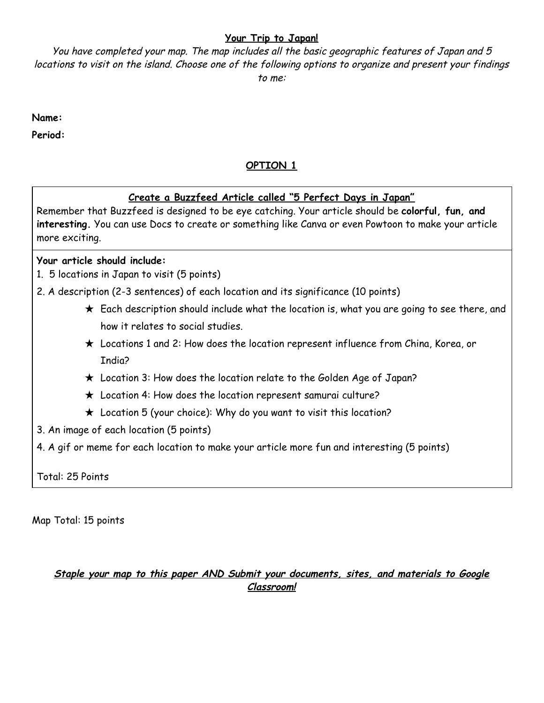#### **Your Trip to Japan!**

You have completed your map. The map includes all the basic geographic features of Japan and 5 locations to visit on the island. Choose one of the following options to organize and present your findings to me:

**Name:**

**Period:**

# **OPTION 1**

### **Create a Buzzfeed Article called "5 Perfect Days in Japan"**

Remember that Buzzfeed is designed to be eye catching. Your article should be **colorful, fun, and interesting.** You can use Docs to create or something like Canva or even Powtoon to make your article more exciting.

### **Your article should include:**

- 1. 5 locations in Japan to visit (5 points)
- 2. A description (2-3 sentences) of each location and its significance (10 points)
	- $\star$  Each description should include what the location is, what you are going to see there, and how it relates to social studies.
	- ★ Locations 1 and 2: How does the location represent influence from China, Korea, or India?
	- ★ Location 3: How does the location relate to the Golden Age of Japan?
	- ★ Location 4: How does the location represent samurai culture?
	- $\star$  Location 5 (your choice): Why do you want to visit this location?
- 3. An image of each location (5 points)
- 4. A gif or meme for each location to make your article more fun and interesting (5 points)

Total: 25 Points

Map Total: 15 points

# **Staple your map to this paper AND Submit your documents, sites, and materials to Google Classroom!**